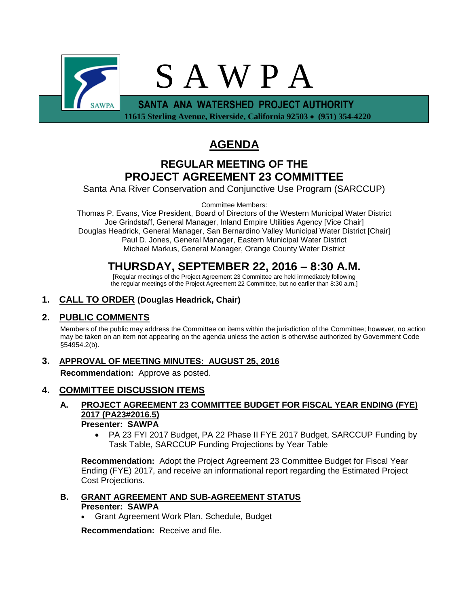

# **AGENDA**

## **REGULAR MEETING OF THE PROJECT AGREEMENT 23 COMMITTEE**

Santa Ana River Conservation and Conjunctive Use Program (SARCCUP)

Committee Members:

Thomas P. Evans, Vice President, Board of Directors of the Western Municipal Water District Joe Grindstaff, General Manager, Inland Empire Utilities Agency [Vice Chair] Douglas Headrick, General Manager, San Bernardino Valley Municipal Water District [Chair] Paul D. Jones, General Manager, Eastern Municipal Water District Michael Markus, General Manager, Orange County Water District

# **THURSDAY, SEPTEMBER 22, 2016 – 8:30 A.M.**

[Regular meetings of the Project Agreement 23 Committee are held immediately following the regular meetings of the Project Agreement 22 Committee, but no earlier than 8:30 a.m.]

## **1. CALL TO ORDER (Douglas Headrick, Chair)**

## **2. PUBLIC COMMENTS**

Members of the public may address the Committee on items within the jurisdiction of the Committee; however, no action may be taken on an item not appearing on the agenda unless the action is otherwise authorized by Government Code §54954.2(b).

## **3. APPROVAL OF MEETING MINUTES: AUGUST 25, 2016**

**Recommendation:** Approve as posted.

## **4. COMMITTEE DISCUSSION ITEMS**

**A. PROJECT AGREEMENT 23 COMMITTEE BUDGET FOR FISCAL YEAR ENDING (FYE) 2017 (PA23#2016.5) Presenter: SAWPA**

# PA 23 FYI 2017 Budget, PA 22 Phase II FYE 2017 Budget, SARCCUP Funding by

Task Table, SARCCUP Funding Projections by Year Table

**Recommendation:** Adopt the Project Agreement 23 Committee Budget for Fiscal Year Ending (FYE) 2017, and receive an informational report regarding the Estimated Project Cost Projections.

### **B. GRANT AGREEMENT AND SUB-AGREEMENT STATUS Presenter: SAWPA**

Grant Agreement Work Plan, Schedule, Budget

**Recommendation:** Receive and file.